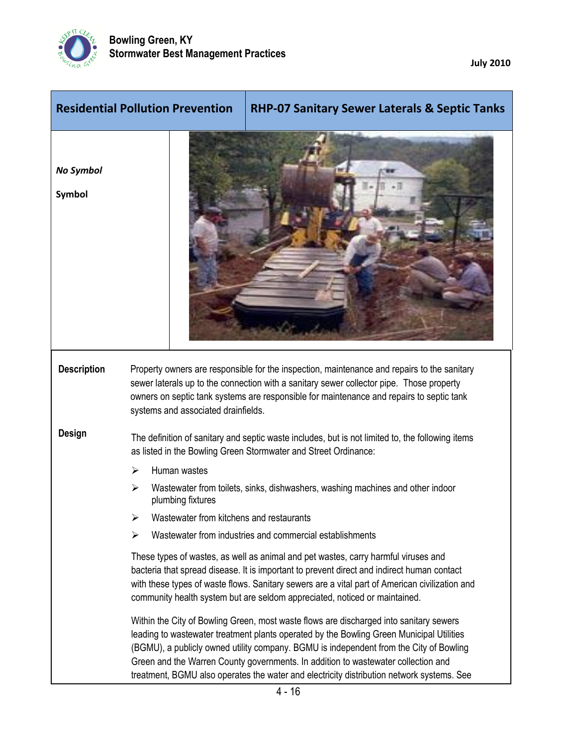

**July 2010**

|                            | <b>Residential Pollution Prevention</b><br><b>RHP-07 Sanitary Sewer Laterals &amp; Septic Tanks</b>                                                                                                                                                                                                                                                                                                                                                            |
|----------------------------|----------------------------------------------------------------------------------------------------------------------------------------------------------------------------------------------------------------------------------------------------------------------------------------------------------------------------------------------------------------------------------------------------------------------------------------------------------------|
| <b>No Symbol</b><br>Symbol |                                                                                                                                                                                                                                                                                                                                                                                                                                                                |
| <b>Description</b>         | Property owners are responsible for the inspection, maintenance and repairs to the sanitary<br>sewer laterals up to the connection with a sanitary sewer collector pipe. Those property<br>owners on septic tank systems are responsible for maintenance and repairs to septic tank<br>systems and associated drainfields.                                                                                                                                     |
| <b>Design</b>              | The definition of sanitary and septic waste includes, but is not limited to, the following items<br>as listed in the Bowling Green Stormwater and Street Ordinance:                                                                                                                                                                                                                                                                                            |
|                            | Human wastes<br>➤                                                                                                                                                                                                                                                                                                                                                                                                                                              |
|                            | Wastewater from toilets, sinks, dishwashers, washing machines and other indoor<br>⋗<br>plumbing fixtures                                                                                                                                                                                                                                                                                                                                                       |
|                            | Wastewater from kitchens and restaurants                                                                                                                                                                                                                                                                                                                                                                                                                       |
|                            | Wastewater from industries and commercial establishments<br>⋗                                                                                                                                                                                                                                                                                                                                                                                                  |
|                            | These types of wastes, as well as animal and pet wastes, carry harmful viruses and<br>bacteria that spread disease. It is important to prevent direct and indirect human contact<br>with these types of waste flows. Sanitary sewers are a vital part of American civilization and<br>community health system but are seldom appreciated, noticed or maintained.                                                                                               |
|                            | Within the City of Bowling Green, most waste flows are discharged into sanitary sewers<br>leading to wastewater treatment plants operated by the Bowling Green Municipal Utilities<br>(BGMU), a publicly owned utility company. BGMU is independent from the City of Bowling<br>Green and the Warren County governments. In addition to wastewater collection and<br>treatment, BGMU also operates the water and electricity distribution network systems. See |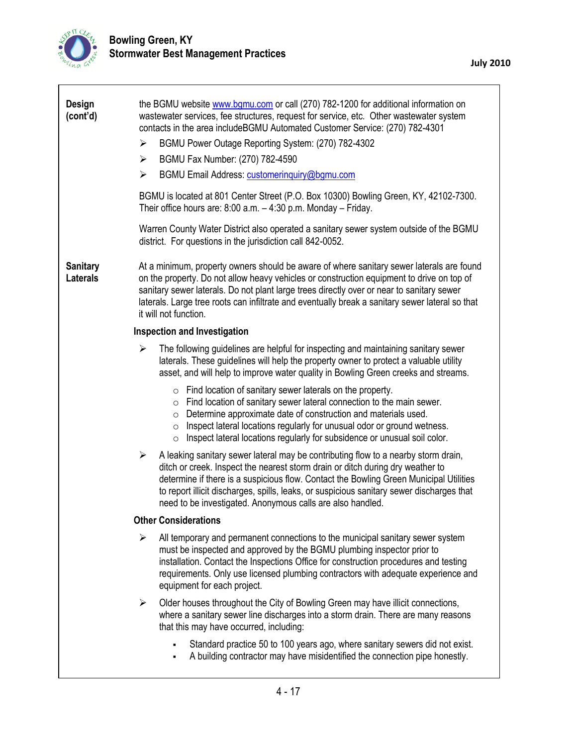

 $\overline{\Gamma}$ 

| Design<br>(cont'd)<br>➤<br>➤<br>➤<br><b>Sanitary</b><br><b>Laterals</b> | the BGMU website www.bgmu.com or call (270) 782-1200 for additional information on<br>wastewater services, fee structures, request for service, etc. Other wastewater system<br>contacts in the area includeBGMU Automated Customer Service: (270) 782-4301<br>BGMU Power Outage Reporting System: (270) 782-4302<br>BGMU Fax Number: (270) 782-4590<br>BGMU Email Address: customeringuiry@bgmu.com<br>BGMU is located at 801 Center Street (P.O. Box 10300) Bowling Green, KY, 42102-7300.<br>Their office hours are: $8:00$ a.m. $-4:30$ p.m. Monday $-$ Friday.<br>Warren County Water District also operated a sanitary sewer system outside of the BGMU<br>district. For questions in the jurisdiction call 842-0052.<br>At a minimum, property owners should be aware of where sanitary sewer laterals are found<br>on the property. Do not allow heavy vehicles or construction equipment to drive on top of<br>sanitary sewer laterals. Do not plant large trees directly over or near to sanitary sewer<br>laterals. Large tree roots can infiltrate and eventually break a sanitary sewer lateral so that |  |  |
|-------------------------------------------------------------------------|----------------------------------------------------------------------------------------------------------------------------------------------------------------------------------------------------------------------------------------------------------------------------------------------------------------------------------------------------------------------------------------------------------------------------------------------------------------------------------------------------------------------------------------------------------------------------------------------------------------------------------------------------------------------------------------------------------------------------------------------------------------------------------------------------------------------------------------------------------------------------------------------------------------------------------------------------------------------------------------------------------------------------------------------------------------------------------------------------------------------|--|--|
|                                                                         | it will not function.                                                                                                                                                                                                                                                                                                                                                                                                                                                                                                                                                                                                                                                                                                                                                                                                                                                                                                                                                                                                                                                                                                |  |  |
|                                                                         | <b>Inspection and Investigation</b>                                                                                                                                                                                                                                                                                                                                                                                                                                                                                                                                                                                                                                                                                                                                                                                                                                                                                                                                                                                                                                                                                  |  |  |
| ➤                                                                       | The following guidelines are helpful for inspecting and maintaining sanitary sewer<br>laterals. These guidelines will help the property owner to protect a valuable utility<br>asset, and will help to improve water quality in Bowling Green creeks and streams.                                                                                                                                                                                                                                                                                                                                                                                                                                                                                                                                                                                                                                                                                                                                                                                                                                                    |  |  |
|                                                                         | $\circ$ Find location of sanitary sewer laterals on the property.<br>$\circ$ Find location of sanitary sewer lateral connection to the main sewer.<br>Determine approximate date of construction and materials used.<br>$\circ$<br>Inspect lateral locations regularly for unusual odor or ground wetness.<br>$\circ$<br>Inspect lateral locations regularly for subsidence or unusual soil color.<br>$\circ$                                                                                                                                                                                                                                                                                                                                                                                                                                                                                                                                                                                                                                                                                                        |  |  |
| $\blacktriangleright$                                                   | A leaking sanitary sewer lateral may be contributing flow to a nearby storm drain,<br>ditch or creek. Inspect the nearest storm drain or ditch during dry weather to<br>determine if there is a suspicious flow. Contact the Bowling Green Municipal Utilities<br>to report illicit discharges, spills, leaks, or suspicious sanitary sewer discharges that<br>need to be investigated. Anonymous calls are also handled.                                                                                                                                                                                                                                                                                                                                                                                                                                                                                                                                                                                                                                                                                            |  |  |
| <b>Other Considerations</b>                                             |                                                                                                                                                                                                                                                                                                                                                                                                                                                                                                                                                                                                                                                                                                                                                                                                                                                                                                                                                                                                                                                                                                                      |  |  |
| ➤                                                                       | All temporary and permanent connections to the municipal sanitary sewer system<br>must be inspected and approved by the BGMU plumbing inspector prior to<br>installation. Contact the Inspections Office for construction procedures and testing<br>requirements. Only use licensed plumbing contractors with adequate experience and<br>equipment for each project.                                                                                                                                                                                                                                                                                                                                                                                                                                                                                                                                                                                                                                                                                                                                                 |  |  |
| $\blacktriangleright$                                                   | Older houses throughout the City of Bowling Green may have illicit connections,<br>where a sanitary sewer line discharges into a storm drain. There are many reasons<br>that this may have occurred, including:                                                                                                                                                                                                                                                                                                                                                                                                                                                                                                                                                                                                                                                                                                                                                                                                                                                                                                      |  |  |
|                                                                         | Standard practice 50 to 100 years ago, where sanitary sewers did not exist.<br>A building contractor may have misidentified the connection pipe honestly.                                                                                                                                                                                                                                                                                                                                                                                                                                                                                                                                                                                                                                                                                                                                                                                                                                                                                                                                                            |  |  |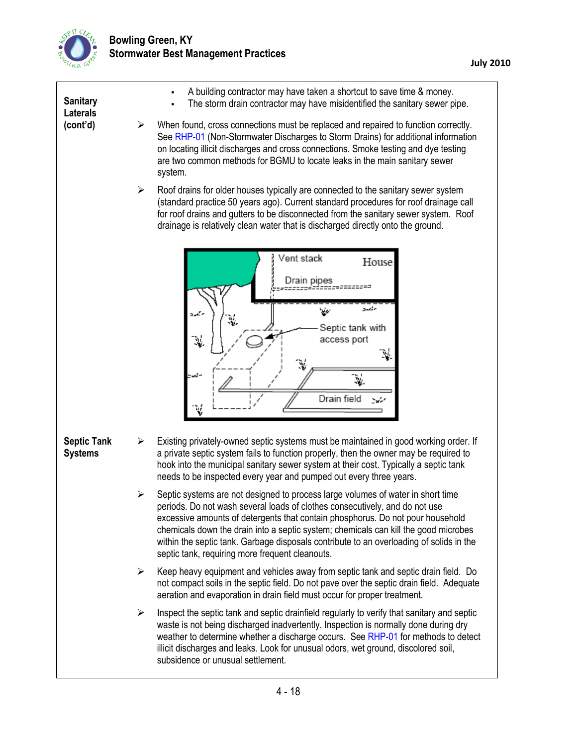